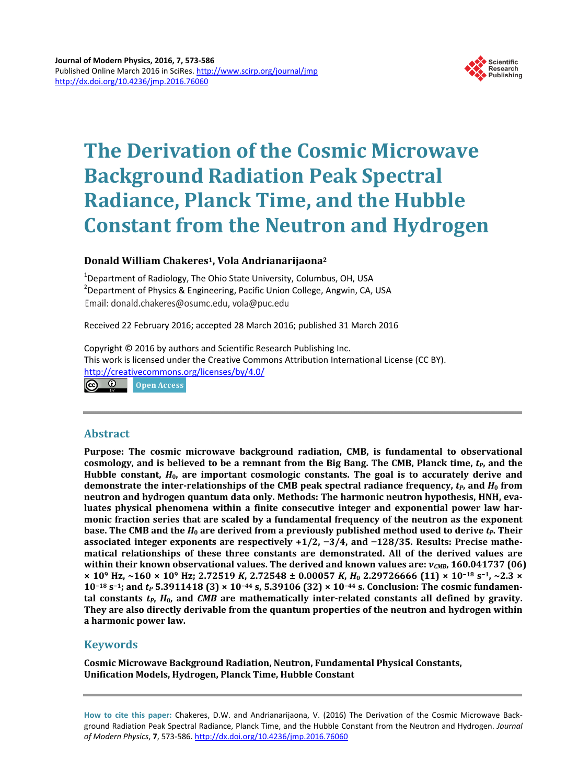

# **The Derivation of the Cosmic Microwave Background Radiation Peak Spectral Radiance, Planck Time, and the Hubble Constant from the Neutron and Hydrogen**

# **Donald William Chakeres1, Vola Andrianarijaona2**

<sup>1</sup>Department of Radiology, The Ohio State University, Columbus, OH, USA<br><sup>2</sup>Department of Physics & Engineering, Basific Union Colloge, Angwin, CA <sup>2</sup> Department of Physics & Engineering, Pacific Union College, Angwin, CA, USA Email: donald.chakeres@osumc.edu, vola@puc.edu

Received 22 February 2016; accepted 28 March 2016; published 31 March 2016

Copyright © 2016 by authors and Scientific Research Publishing Inc. This work is licensed under the Creative Commons Attribution International License (CC BY). <http://creativecommons.org/licenses/by/4.0/> Open Access

# **Abstract**

**Purpose: The cosmic microwave background radiation, CMB, is fundamental to observational**  cosmology, and is believed to be a remnant from the Big Bang. The CMB, Planck time,  $t<sub>P</sub>$ , and the **Hubble constant,** *H***0, are important cosmologic constants. The goal is to accurately derive and demonstrate the inter-relationships of the CMB peak spectral radiance frequency,** *tP***, and** *H***<sup>0</sup> from neutron and hydrogen quantum data only. Methods: The harmonic neutron hypothesis, HNH, evaluates physical phenomena within a finite consecutive integer and exponential power law harmonic fraction series that are scaled by a fundamental frequency of the neutron as the exponent base. The CMB** and the  $H_0$  are derived from a previously published method used to derive  $t_P$ . Their **associated integer exponents are respectively +1/2, −3/4, and −128/35. Results: Precise mathematical relationships of these three constants are demonstrated. All of the derived values are within their known observational values. The derived and known values are:** *νCMB***, 160.041737 (06) × 109 Hz, ~160 × 109 Hz; 2.72519** *K***, 2.72548 ± 0.00057** *K***,** *H***<sup>0</sup> 2.29726666 (11) × 10−<sup>18</sup> s−1, ~2.3 × 10−<sup>18</sup> s−1; and** *tP* **5.3911418 (3) × 10−<sup>44</sup> s, 5.39106 (32) × 10−<sup>44</sup> s. Conclusion: The cosmic fundamen**tal constants  $t_P$ ,  $H_0$ , and *CMB* are mathematically inter-related constants all defined by gravity. **They are also directly derivable from the quantum properties of the neutron and hydrogen within a harmonic power law.**

# **Keywords**

**Cosmic Microwave Background Radiation, Neutron, Fundamental Physical Constants, Unification Models, Hydrogen, Planck Time, Hubble Constant**

**How to cite this paper:** Chakeres, D.W. and Andrianarijaona, V. (2016) The Derivation of the Cosmic Microwave Background Radiation Peak Spectral Radiance, Planck Time, and the Hubble Constant from the Neutron and Hydrogen. *Journal of Modern Physics*, **7**, 573-586. <http://dx.doi.org/10.4236/jmp.2016.76060>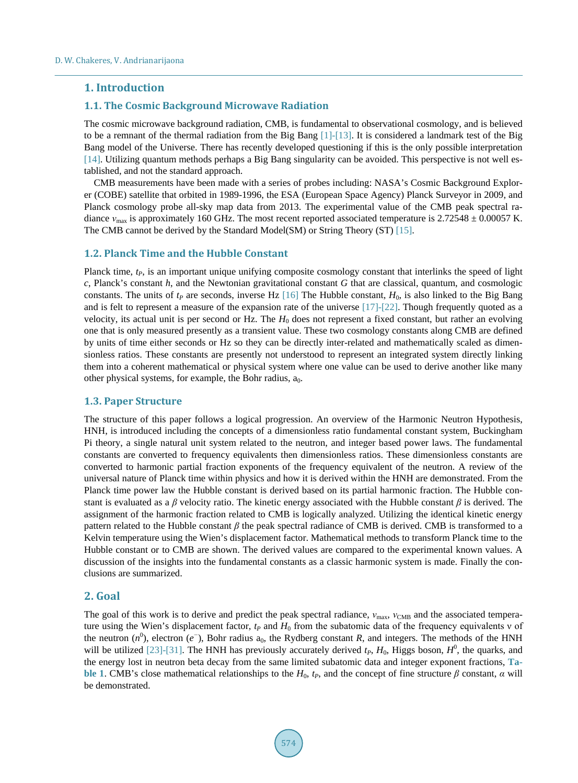### **1. Introduction**

### **1.1. The Cosmic Background Microwave Radiation**

The cosmic microwave background radiation, CMB, is fundamental to observational cosmology, and is believed to be a remnant of the [thermal radiation](http://en.wikipedia.org/wiki/Thermal_radiation) from the Big Bang [\[1\]-](#page-12-0)[\[13\].](#page-12-1) It is considered a landmark test of the [Big](http://en.wikipedia.org/wiki/Big_Bang)  [Bang](http://en.wikipedia.org/wiki/Big_Bang) model of the Universe. There has recently developed questioning if this is the only possible interpretation [\[14\].](#page-12-2) Utilizing quantum methods perhaps a Big Bang singularity can be avoided. This perspective is not well established, and not the standard approach.

CMB measurements have been made with a series of probes including: [NASA'](https://en.wikipedia.org/wiki/NASA)s Cosmic Background Explorer [\(COBE\)](https://en.wikipedia.org/wiki/Cosmic_Background_Explorer) satellite that orbited in 1989-1996, th[e ESA](https://en.wikipedia.org/wiki/European_Space_Agency) (European Space Agency) [Planck Surveyor](https://en.wikipedia.org/wiki/Planck_Surveyor) in 2009, and [Planck cosmology probe](https://en.wikipedia.org/wiki/Planck_(spacecraft)) all-sky map data from 2013. The experimental value of the CMB peak spectral radiance  $v_{\text{max}}$  is approximately 160 GHz. The most recent reported associated temperature is 2.72548  $\pm$  0.00057 K. The CMB cannot be derived by the Standard Model(SM) or String Theory (ST) [\[15\].](#page-12-3)

### **1.2. Planck Time and the Hubble Constant**

Planck time,  $t_P$ , is an important unique unifying composite cosmology constant that interlinks the speed of light *c*, Planck's constant *h*, and the Newtonian gravitational constant *G* that are classical, quantum, and cosmologic constants. The units of  $t_P$  are seconds, inverse Hz [\[16\]](#page-12-4) The Hubble constant,  $H_0$ , is also linked to the Big Bang and is felt to represent a measure of the expansion rate of the universe  $[17]-[22]$  $[17]-[22]$ . Though frequently quoted as a velocity, its actual unit is per second or Hz. The *H*<sup>0</sup> does not represent a fixed constant, but rather an evolving one that is only measured presently as a transient value. These two cosmology constants along CMB are defined by units of time either seconds or Hz so they can be directly inter-related and mathematically scaled as dimensionless ratios. These constants are presently not understood to represent an integrated system directly linking them into a coherent mathematical or physical system where one value can be used to derive another like many other physical systems, for example, the Bohr radius,  $a_0$ .

### **1.3. Paper Structure**

The structure of this paper follows a logical progression. An overview of the Harmonic Neutron Hypothesis, HNH, is introduced including the concepts of a dimensionless ratio fundamental constant system, Buckingham Pi theory, a single natural unit system related to the neutron, and integer based power laws. The fundamental constants are converted to frequency equivalents then dimensionless ratios. These dimensionless constants are converted to harmonic partial fraction exponents of the frequency equivalent of the neutron. A review of the universal nature of Planck time within physics and how it is derived within the HNH are demonstrated. From the Planck time power law the Hubble constant is derived based on its partial harmonic fraction. The Hubble constant is evaluated as a *β* velocity ratio. The kinetic energy associated with the Hubble constant *β* is derived. The assignment of the harmonic fraction related to CMB is logically analyzed. Utilizing the identical kinetic energy pattern related to the Hubble constant *β* the peak spectral radiance of CMB is derived. CMB is transformed to a Kelvin temperature using the Wien's displacement factor. Mathematical methods to transform Planck time to the Hubble constant or to CMB are shown. The derived values are compared to the experimental known values. A discussion of the insights into the fundamental constants as a classic harmonic system is made. Finally the conclusions are summarized.

### **2. Goal**

The goal of this work is to derive and predict the peak spectral radiance,  $v_{\text{max}}$ ,  $v_{\text{CMB}}$  and the associated temperature using the Wien's displacement factor, *t<sub>P</sub>* and *H*<sub>0</sub> from the subatomic data of the frequency equivalents ν of the neutron  $(n^0)$ , electron  $(e^-)$ , Bohr radius  $a_0$ , the Rydberg constant *R*, and integers. The methods of the HNH will be utilized [\[23\]-](#page-13-1)[\[31\].](#page-13-2) The HNH has previously accurately derived  $t_P$ ,  $H_0$ , Higgs boson,  $H^0$ , the quarks, and the energy lost in neutron beta decay from the same limited subatomic data and integer exponent fractions, **[Ta](#page-2-0)[ble 1](#page-2-0).** CMB's close mathematical relationships to the  $H_0$ ,  $t_P$ , and the concept of fine structure *β* constant, *α* will be demonstrated.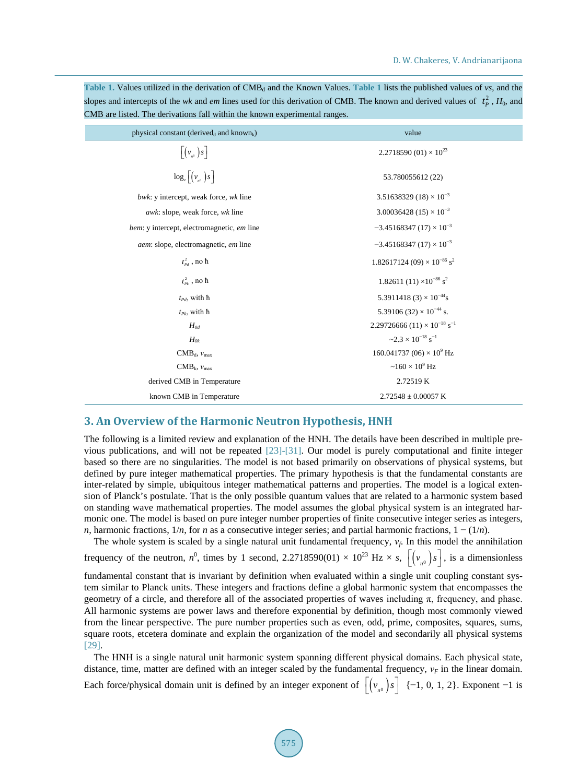| CMB are itsted. The derivations fail within the known experimental ranges.                  |                                                 |  |  |
|---------------------------------------------------------------------------------------------|-------------------------------------------------|--|--|
| physical constant (derived <sub>d</sub> and known <sub>k</sub> )                            | value                                           |  |  |
| $\left[\left(\nu_{n^0}\right)s\right]$                                                      | 2.2718590 (01) $\times$ 10 <sup>23</sup>        |  |  |
| $\log_e \left[ \left( v_{n^0} \right) s \right]$                                            | 53.780055612 (22)                               |  |  |
| bwk: y intercept, weak force, wk line                                                       | 3.51638329 (18) $\times$ 10 <sup>-3</sup>       |  |  |
| $3.00036428(15)\times10^{-3}$<br><i>awk</i> : slope, weak force, wk line                    |                                                 |  |  |
| $-3.45168347(17)\times 10^{-3}$<br><i>bem:</i> y intercept, electromagnetic, <i>em</i> line |                                                 |  |  |
| aem: slope, electromagnetic, em line                                                        | $-3.45168347(17)\times 10^{-3}$                 |  |  |
| $t_{\scriptscriptstyle{Pd}}^2$ , no ħ                                                       | $1.82617124(09) \times 10^{-86}$ s <sup>2</sup> |  |  |
| $t_{p_k}^2$ , no $\hbar$                                                                    | $1.82611(11)\times10^{-86}$ s <sup>2</sup>      |  |  |
| $t_{Pd}$ , with $\hbar$                                                                     | 5.3911418 (3) $\times$ 10 <sup>-44</sup> s      |  |  |
| $t_{Pk}$ , with ħ                                                                           | 5.39106 (32) $\times$ 10 <sup>-44</sup> s.      |  |  |
| $H_{0d}$                                                                                    | $2.29726666(11)\times10^{-18}$ s <sup>-1</sup>  |  |  |
| $H_{0k}$                                                                                    | $\approx 2.3 \times 10^{-18}$ s <sup>-1</sup>   |  |  |
| $\mathrm{CMB}_d$ , $v_{\mathrm{max}}$                                                       | $160.041737(06) \times 10^9$ Hz                 |  |  |
| $CMB_k$ , $v_{max}$                                                                         | $\sim$ 160 $\times$ 10 <sup>9</sup> Hz          |  |  |
| derived CMB in Temperature                                                                  | 2.72519 K                                       |  |  |
| known CMB in Temperature                                                                    | $2.72548 + 0.00057$ K                           |  |  |

<span id="page-2-0"></span>[Table 1](#page-2-0). Values utilized in the derivation of CMB<sub>d</sub> and the Known Values. Table 1 lists the published values of *vs*, and the slopes and intercepts of the *wk* and *em* lines used for this derivation of CMB. The known and derived values of  $t_p^2$ ,  $H_0$ , and CMB are listed. The derivations fall within the known experimental ranges.

## **3. An Overview of the Harmonic Neutron Hypothesis, HNH**

The following is a limited review and explanation of the HNH. The details have been described in multiple previous publications, and will not be repeated [\[23\]-](#page-13-1)[\[31\].](#page-13-2) Our model is purely computational and finite integer based so there are no singularities. The model is not based primarily on observations of physical systems, but defined by pure integer mathematical properties. The primary hypothesis is that the fundamental constants are inter-related by simple, ubiquitous integer mathematical patterns and properties. The model is a logical extension of Planck's postulate. That is the only possible quantum values that are related to a harmonic system based on standing wave mathematical properties. The model assumes the global physical system is an integrated harmonic one. The model is based on pure integer number properties of finite consecutive integer series as integers, *n*, harmonic fractions,  $1/n$ , for *n* as a consecutive integer series; and partial harmonic fractions,  $1 - (1/n)$ .

The whole system is scaled by a single natural unit fundamental frequency,  $v_f$ . In this model the annihilation frequency of the neutron,  $n^0$ , times by 1 second, 2.2718590(01)  $\times$  10<sup>23</sup> Hz  $\times$  *s*,  $[(v_{n^0})s]$ , is a dimensionless

fundamental constant that is invariant by definition when evaluated within a single unit coupling constant system similar to Planck units. These integers and fractions define a global harmonic system that encompasses the geometry of a circle, and therefore all of the associated properties of waves including π, frequency, and phase. All harmonic systems are power laws and therefore exponential by definition, though most commonly viewed from the linear perspective. The pure number properties such as even, odd, prime, composites, squares, sums, square roots, etcetera dominate and explain the organization of the model and secondarily all physical systems [\[29\].](#page-13-3)

The HNH is a single natural unit harmonic system spanning different physical domains. Each physical state, distance, time, matter are defined with an integer scaled by the fundamental frequency,  $v_F$  in the linear domain.

Each force/physical domain unit is defined by an integer exponent of  $\left[ \left( v_{n0} \right) s \right]$  {−1, 0, 1, 2}. Exponent −1 is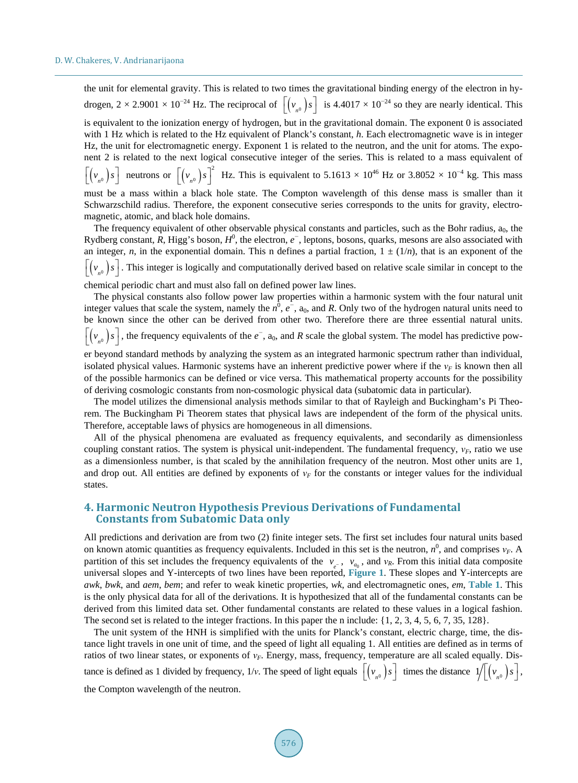the unit for elemental gravity. This is related to two times the gravitational binding energy of the electron in hydrogen,  $2 \times 2.9001 \times 10^{-24}$  Hz. The reciprocal of  $\left[ \left( v_{n0} \right) s \right]$  is  $4.4017 \times 10^{-24}$  so they are nearly identical. This

is equivalent to the ionization energy of hydrogen, but in the gravitational domain. The exponent 0 is associated with 1 Hz which is related to the Hz equivalent of Planck's constant, *h*. Each electromagnetic wave is in integer Hz, the unit for electromagnetic energy. Exponent 1 is related to the neutron, and the unit for atoms. The exponent 2 is related to the next logical consecutive integer of the series. This is related to a mass equivalent of

 $\left[ \left( v_{n0} \right) s \right]$  neutrons or  $\left[ \left( v_{n0} \right) s \right]^{2}$  Hz. This is equivalent to 5.1613 × 10<sup>46</sup> Hz or 3.8052 × 10<sup>-4</sup> kg. This mass

must be a mass within a black hole state. The Compton wavelength of this dense mass is smaller than it Schwarzschild radius. Therefore, the exponent consecutive series corresponds to the units for gravity, electromagnetic, atomic, and black hole domains.

The frequency equivalent of other observable physical constants and particles, such as the Bohr radius,  $a_0$ , the Rydberg constant, R, Higg's boson,  $H^0$ , the electron,  $e^-$ , leptons, bosons, quarks, mesons are also associated with an integer, *n*, in the exponential domain. This n defines a partial fraction,  $1 \pm (1/n)$ , that is an exponent of the  $(v_{n} | v_n)$  *s*  $\bigg]$ . This integer is logically and computationally derived based on relative scale similar in concept to the

chemical periodic chart and must also fall on defined power law lines.

The physical constants also follow power law properties within a harmonic system with the four natural unit integer values that scale the system, namely the  $n^0$ ,  $e^-$ ,  $a_0$ , and R. Only two of the hydrogen natural units need to be known since the other can be derived from other two. Therefore there are three essential natural units.  $(v_{n} | v_{n})$  , the frequency equivalents of the  $e^{-}$ , a<sub>0</sub>, and *R* scale the global system. The model has predictive pow-

er beyond standard methods by analyzing the system as an integrated harmonic spectrum rather than individual, isolated physical values. Harmonic systems have an inherent predictive power where if the *ν<sub>F</sub>* is known then all of the possible harmonics can be defined or vice versa. This mathematical property accounts for the possibility of deriving cosmologic constants from non-cosmologic physical data (subatomic data in particular).

The model utilizes the dimensional analysis methods similar to that of Rayleigh and Buckingham's Pi Theorem. The Buckingham Pi Theorem states that physical laws are independent of the form of the physical units. Therefore, acceptable laws of physics are homogeneous in all dimensions.

All of the physical phenomena are evaluated as frequency equivalents, and secondarily as dimensionless coupling constant ratios. The system is physical unit-independent. The fundamental frequency,  $v_F$ , ratio we use as a dimensionless number, is that scaled by the annihilation frequency of the neutron. Most other units are 1, and drop out. All entities are defined by exponents of  $v_F$  for the constants or integer values for the individual states.

# **4. Harmonic Neutron Hypothesis Previous Derivations of Fundamental Constants from Subatomic Data only**

All predictions and derivation are from two (2) finite integer sets. The first set includes four natural units based on known atomic quantities as frequency equivalents. Included in this set is the neutron,  $n^0$ , and comprises  $v_F$ . A partition of this set includes the frequency equivalents of the  $v_{e^-}$ ,  $v_{a_0}$ , and  $v_R$ . From this initial data composite universal slopes and Y-intercepts of two lines have been reported, **[Figure](#page-4-0) 1**. These slopes and Y-intercepts are *awk*, *bwk*, and *aem*, *bem*; and refer to weak kinetic properties, *wk*, and electromagnetic ones, *em*, **[Table 1](#page-2-0)**. This is the only physical data for all of the derivations. It is hypothesized that all of the fundamental constants can be derived from this limited data set. Other fundamental constants are related to these values in a logical fashion. The second set is related to the integer fractions. In this paper the n include: {1, 2, 3, 4, 5, 6, 7, 35, 128}.

The unit system of the HNH is simplified with the units for Planck's constant, electric charge, time, the distance light travels in one unit of time, and the speed of light all equaling 1. All entities are defined as in terms of ratios of two linear states, or exponents of *νF*. Energy, mass, frequency, temperature are all scaled equally. Distance is defined as 1 divided by frequency,  $1/v$ . The speed of light equals  $\left[ \left( v_{n^0} \right) s \right]$  times the distance  $1/ \left[ \left( v_{n^0} \right) s \right]$ , the Compton wavelength of the neutron.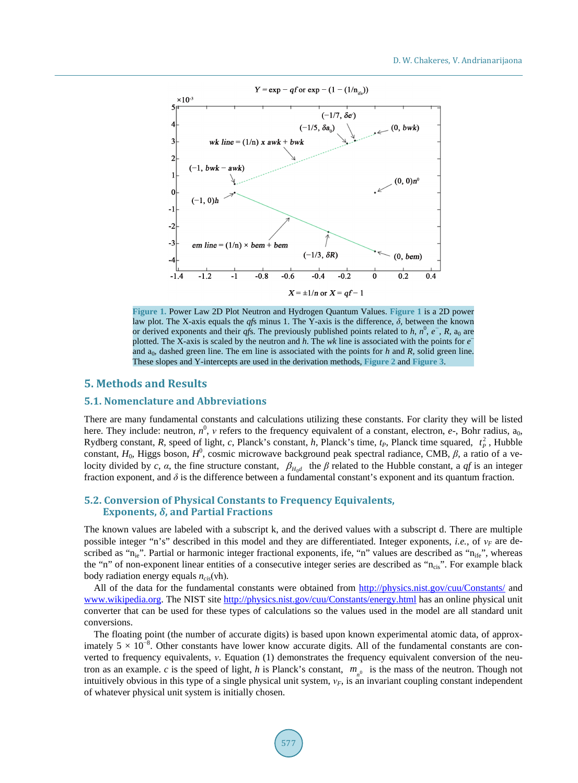<span id="page-4-0"></span>

**Figure 1.** Power Law 2D Plot Neutron and Hydrogen Quantum Values. **[Figure 1](#page-4-0)** is a 2D power law plot. The X-axis equals the *qf*s minus 1. The Y-axis is the difference, *δ*, between the known or derived exponents and their *qfs*. The previously published points related to *h*,  $n^0$ ,  $e^-$ ,  $R$ ,  $a_0$  are plotted. The X-axis is scaled by the neutron and *h*. The *wk* line is associated with the points for *e* − and  $a_0$ , dashed green line. The em line is associated with the points for  $h$  and  $R$ , solid green line. These slopes and Y-intercepts are used in the derivation methods, **[Figure 2](#page-6-0)** and **[Figure 3](#page-6-1)**.

# **5. Methods and Results**

### **5.1. Nomenclature and Abbreviations**

There are many fundamental constants and calculations utilizing these constants. For clarity they will be listed here. They include: neutron,  $n^0$ ,  $\nu$  refers to the frequency equivalent of a constant, electron,  $e$ -, Bohr radius,  $a_0$ , Rydberg constant, *R*, speed of light, *c*, Planck's constant, *h*, Planck's time,  $t_P$ , Planck time squared,  $t_P^2$ , Hubble constant,  $H_0$ , Higgs boson,  $H^0$ , cosmic microwave background peak spectral radiance, CMB,  $\beta$ , a ratio of a velocity divided by *c*, *α*, the fine structure constant,  $\beta_{H_0d}$  the  $\beta$  related to the Hubble constant, a *qf* is an integer fraction exponent, and  $\delta$  is the difference between a fundamental constant's exponent and its quantum fraction.

### **5.2. Conversion of Physical Constants to Frequency Equivalents, Exponents,** *δ***, and Partial Fractions**

The known values are labeled with a subscript k, and the derived values with a subscript d. There are multiple possible integer "n's" described in this model and they are differentiated. Integer exponents, *i.e.*, of *ν<sup>F</sup>* are described as "n<sub>ie</sub>". Partial or harmonic integer fractional exponents, ife, "n" values are described as "n<sub>ife</sub>", whereas the "n" of non-exponent linear entities of a consecutive integer series are described as "ncis". For example black body radiation energy equals *n<sub>cis</sub>*(νh).

All of the data for the fundamental constants were obtained from<http://physics.nist.gov/cuu/Constants/> and [www.wikipedia.org.](http://www.wikipedia.org/) The NIST sit[e http://physics.nist.gov/cuu/Constants/energy.html](http://physics.nist.gov/cuu/Constants/energy.html) has an online physical unit converter that can be used for these types of calculations so the values used in the model are all standard unit conversions.

The floating point (the number of accurate digits) is based upon known experimental atomic data, of approximately  $5 \times 10^{-8}$ . Other constants have lower know accurate digits. All of the fundamental constants are converted to frequency equivalents, *ν*. Equation (1) demonstrates the frequency equivalent conversion of the neutron as an example. *c* is the speed of light, *h* is Planck's constant,  $m_{\rho}$  is the mass of the neutron. Though not intuitively obvious in this type of a single physical unit system, *νF*, is an invariant coupling constant independent of whatever physical unit system is initially chosen.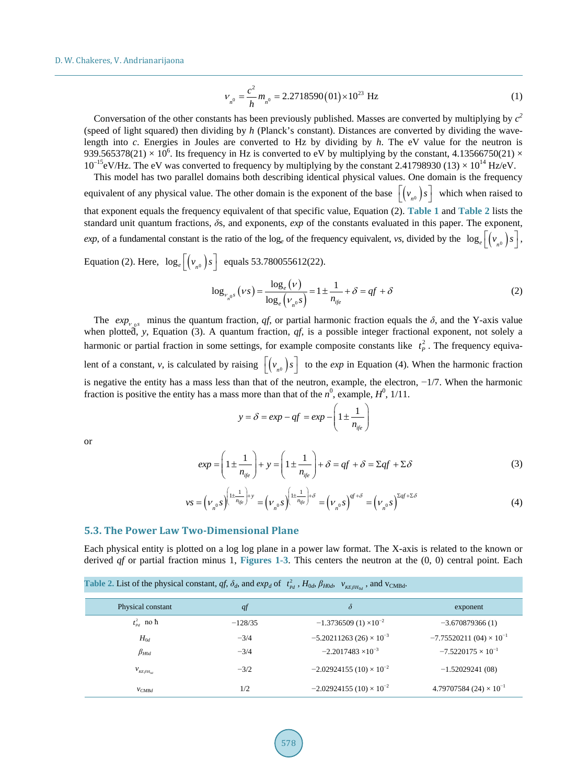$$
V_{n^0} = \frac{c^2}{h} m_{n^0} = 2.2718590(01) \times 10^{23} \text{ Hz}
$$
 (1)

Conversation of the other constants has been previously published. Masses are converted by multiplying by  $c^2$ (speed of light squared) then dividing by *h* (Planck's constant). Distances are converted by dividing the wavelength into *c*. Energies in Joules are converted to Hz by dividing by *h*. The eV value for the neutron is 939.565378(21)  $\times$  10<sup>6</sup>. Its frequency in Hz is converted to eV by multiplying by the constant, 4.13566750(21)  $\times$  $10^{-15}$ eV/Hz. The eV was converted to frequency by multiplying by the constant 2.41798930 (13)  $\times 10^{14}$  Hz/eV.

This model has two parallel domains both describing identical physical values. One domain is the frequency equivalent of any physical value. The other domain is the exponent of the base  $\left[ \left( v_{n0} \right) s \right]$  which when raised to that exponent equals the frequency equivalent of that specific value, Equation (2). **[Table 1](#page-2-0)** and **[Table 2](#page-5-0)** lists the standard unit quantum fractions, *δ*s, and exponents, *exp* of the constants evaluated in this paper. The exponent, *exp*, of a fundamental constant is the ratio of the log<sub>e</sub> of the frequency equivalent, *vs*, divided by the  $log_e$   $\left[ \left( v_{n0} \right) s \right]$ ,

Equation (2). Here,  $\log_e \left[ \left( v_{n0} \right) s \right]$  equals 53.780055612(22).

$$
\log_{\nu_{n^{0}}s}(\nu s) = \frac{\log_e(\nu)}{\log_e(\nu_{n^{0}}s)} = 1 \pm \frac{1}{n_{\text{ife}}} + \delta = qf + \delta \tag{2}
$$

The  $exp_{\nu_{0}s}$  minus the quantum fraction, *qf*, or partial harmonic fraction equals the  $\delta$ , and the Y-axis value when plotted, *y*, Equation (3). A quantum fraction, *qf*, is a possible integer fractional exponent, not solely a harmonic or partial fraction in some settings, for example composite constants like  $t_p^2$ . The frequency equivalent of a constant, *v*, is calculated by raising  $\lfloor (v_{n^0})s \rfloor$  to the *exp* in Equation (4). When the harmonic fraction is negative the entity has a mass less than that of the neutron, example, the electron, −1/7. When the harmonic fraction is positive the entity has a mass more than that of the  $n^0$ , example,  $H^0$ , 1/11.

$$
y = \delta = exp - qf = exp - \left(1 \pm \frac{1}{n_{ije}}\right)
$$

or

$$
exp = \left(1 \pm \frac{1}{n_{ije}}\right) + y = \left(1 \pm \frac{1}{n_{ije}}\right) + \delta = qf + \delta = \Sigma qf + \Sigma \delta
$$
\n(3)

$$
\nu s = \left(\nu_{n^0} s\right)^{\left(1 \pm \frac{1}{n_{ijc}}\right) + y} = \left(\nu_{n^0} s\right)^{\left(1 \pm \frac{1}{n_{ijc}}\right) + \delta} = \left(\nu_{n^0} s\right)^{q_f + \delta} = \left(\nu_{n^0} s\right)^{\Sigma q_f + \Sigma \delta} \tag{4}
$$

### **5.3. The Power Law Two-Dimensional Plane**

Each physical entity is plotted on a log log plane in a power law format. The X-axis is related to the known or derived *qf* or partial fraction minus 1, **[Figures 1-3](#page-4-0)**. This centers the neutron at the (0, 0) central point. Each

<span id="page-5-0"></span>

| Table 2. List of the physical constant, qf, $\delta_d$ , and $exp_d$ of $t_{Pd}^2$ , $H_{0d}$ , $\beta_{H0d}$ , $v_{KE\beta H_{0d}}$ , and $v_{CMBd}$ . |           |                                 |                                           |
|---------------------------------------------------------------------------------------------------------------------------------------------------------|-----------|---------------------------------|-------------------------------------------|
| Physical constant                                                                                                                                       | q f       | $\delta$                        | exponent                                  |
| $t_{\scriptscriptstyle{p,d}}^2$ no $\hbar$                                                                                                              | $-128/35$ | $-1.3736509(1)\times10^{-2}$    | $-3.670879366(1)$                         |
| $H_{0d}$                                                                                                                                                | $-3/4$    | $-5.20211263(26)\times10^{-3}$  | $-7.75520211(04) \times 10^{-1}$          |
| $\beta_{H0d}$                                                                                                                                           | $-3/4$    | $-2.2017483 \times 10^{-3}$     | $-7.5220175 \times 10^{-1}$               |
| $V_{K E \beta H_{0d}}$                                                                                                                                  | $-3/2$    | $-2.02924155(10)\times 10^{-2}$ | $-1.52029241(08)$                         |
| $V_{CMBd}$                                                                                                                                              | 1/2       | $-2.02924155(10)\times 10^{-2}$ | 4.79707584 (24) $\times$ 10 <sup>-1</sup> |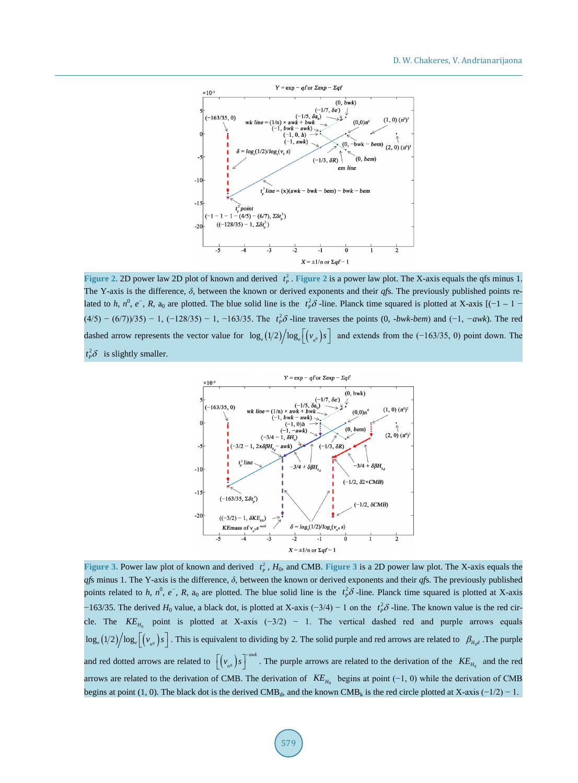<span id="page-6-0"></span>

<span id="page-6-1"></span>**[Figure 2](#page-6-0). 2D** power law 2D plot of known and derived  $t_p^2$ . **Figure 2** is a power law plot. The X-axis equals the qfs minus 1. The Y-axis is the difference, *δ*, between the known or derived exponents and their *qf*s. The previously published points related to *h*,  $n^0$ ,  $e^-$ , *R*,  $a_0$  are plotted. The blue solid line is the  $t_p^2 \delta$ -line. Planck time squared is plotted at X-axis [(-1 – 1 –  $(4/5) - (6/7)/35$ ) − 1, (-128/35) − 1, -163/35. The  $t_p^2 \delta$ -line traverses the points (0, *-bwk-bem*) and (-1, -*awk*). The red dashed arrow represents the vector value for  $\log_e(1/2)/\log_e(\frac{v_{n^0}}{s})$  and extends from the (−163/35, 0) point down. The  $t_p^2 \delta$  is slightly smaller.



**[Figure 3](#page-6-1). Power law plot of known and derived**  $t_p^2$ **,**  $H_0$ **, and CMB. Figure 3 is a 2D power law plot. The X-axis equals the** *qfs* minus 1. The Y-axis is the difference,  $\delta$ , between the known or derived exponents and their *qfs*. The previously published points related to *h*,  $n^0$ ,  $e^-$ , *R*,  $a_0$  are plotted. The blue solid line is the  $t_p^2 \delta$ -line. Planck time squared is plotted at X-axis  $-163/35$ . The derived  $H_0$  value, a black dot, is plotted at X-axis  $(-3/4) - 1$  on the  $t_p^2 \delta$ -line. The known value is the red circle. The  $KE_{H_0}$  point is plotted at X-axis (-3/2) – 1. The vertical dashed red and purple arrows equals  $\log_e(1/2)/\log_e\left[\left(v_{n^0}\right)s\right]$ . This is equivalent to dividing by 2. The solid purple and red arrows are related to  $\beta_{H_0d}$ . The purple and red dotted arrows are related to  $((v_{n0})s)^{-a w k}$ . The purple arrows are related to the derivation of the  $KE_{H_0}$  and the red arrows are related to the derivation of CMB. The derivation of  $KE$ <sub>*H*0</sub> begins at point (−1, 0) while the derivation of CMB begins at point (1, 0). The black dot is the derived CMB<sub>d</sub>, and the known CMB<sub>k</sub> is the red circle plotted at X-axis (−1/2) − 1.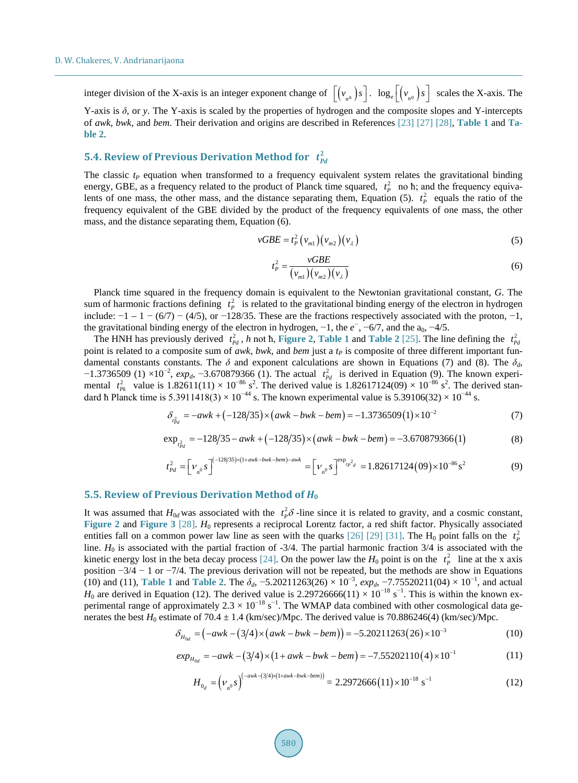integer division of the X-axis is an integer exponent change of  $[(v_{n0})s]$ .  $log_e[(v_{n0})s]$  scales the X-axis. The

Y-axis is *δ*, or *y*. The Y-axis is scaled by the properties of hydrogen and the composite slopes and Y-intercepts of *awk*, *bwk*, and *bem*. Their derivation and origins are described in References [\[23\]](#page-13-1) [\[27\]](#page-13-4) [\[28\],](#page-13-5) **[Table 1](#page-2-0)** and **[Ta](#page-5-0)[ble 2](#page-5-0)**.

# **5.4. Review of Previous Derivation Method for**  $t_{pd}^2$

The classic  $t_P$  equation when transformed to a frequency equivalent system relates the gravitational binding energy, GBE, as a frequency related to the product of Planck time squared,  $t_p^2$  no h; and the frequency equivalents of one mass, the other mass, and the distance separating them, Equation (5).  $t_p^2$  equals the ratio of the frequency equivalent of the GBE divided by the product of the frequency equivalents of one mass, the other mass, and the distance separating them, Equation (6).

$$
vGBE = t_P^2 \left( v_{m1} \right) \left( v_{m2} \right) \left( v_{\lambda} \right) \tag{5}
$$

$$
t_P^2 = \frac{vGBE}{(v_{m1})(v_{m2})(v_{\lambda})}
$$
\n(6)

Planck time squared in the frequency domain is equivalent to the Newtonian gravitational constant, *G*. The sum of harmonic fractions defining  $t_p^2$  is related to the gravitational binding energy of the electron in hydrogen include:  $-1 - 1 - (6/7) - (4/5)$ , or  $-128/35$ . These are the fractions respectively associated with the proton,  $-1$ , the gravitational binding energy of the electron in hydrogen, -1, the  $e^-$ , -6/7, and the  $a_0$ , -4/5.

The HNH has previously derived  $t_{Pd}^2$ , *h* not **h**, **[Figure 2](#page-6-0)**, **[Table 1](#page-2-0)** and **[Table 2](#page-5-0)** [\[25\].](#page-13-6) The line defining the  $t_{Pd}^2$ point is related to a composite sum of *awk*, *bwk*, and *bem* just a  $t<sub>P</sub>$  is composite of three different important fundamental constants constants. The  $\delta$  and exponent calculations are shown in Equations (7) and (8). The  $\delta_d$ ,  $-1.3736509$  (1) ×10<sup>-2</sup>,  $exp_d$ ,  $-3.670879366$  (1). The actual  $t_{pd}^2$  is derived in Equation (9). The known experimental  $t_{p_k}^2$  value is 1.82611(11) × 10<sup>-86</sup> s<sup>2</sup>. The derived value is 1.82617124(09) × 10<sup>-86</sup> s<sup>2</sup>. The derived standard ħ Planck time is 5.3911418(3) ×  $10^{-44}$  s. The known experimental value is 5.39106(32) ×  $10^{-44}$  s.

$$
\delta_{t_{pd}^2} = -awk + (-128/35) \times (awk - bw + bem) = -1.3736509(1) \times 10^{-2}
$$
 (7)

$$
\exp_{t_{pd}^2} = -128/35 - awk + (-128/35) \times (awk - bwk - bem) = -3.670879366(1)
$$
 (8)

$$
t_{Pd}^{2} = \left[\nu_{n^{0}}s\right]^{(-128/35)\times(1+awk-bwk-bem)-awk} = \left[\nu_{n^{0}}s\right]^{exp_{tp^{2}d}} = 1.82617124(09)\times10^{-86}s^{2}
$$
 (9)

## **5.5. Review of Previous Derivation Method of** *H***<sup>0</sup>**

It was assumed that  $H_{0d}$  was associated with the  $t_p^2 \delta$ -line since it is related to gravity, and a cosmic constant, **[Figure 2](#page-6-0)** and **[Figure 3](#page-6-1)** [\[28\].](#page-13-5) *H*<sub>0</sub> represents a reciprocal Lorentz factor, a red shift factor. Physically associated entities fall on a common power law line as seen with the quarks [\[26\]](#page-13-7) [\[29\]](#page-13-3) [\[31\].](#page-13-2) The H<sub>0</sub> point falls on the  $t_p^2$ line.  $H_0$  is associated with the partial fraction of  $-3/4$ . The partial harmonic fraction  $3/4$  is associated with the kinetic energy lost in the beta decay process [\[24\].](#page-13-8) On the power law the  $H_0$  point is on the  $t_p^2$  line at the x axis position −3/4 − 1 or −7/4. The previous derivation will not be repeated, but the methods are show in Equations (10) and (11), **[Table 1](#page-2-0)** and **[Table 2](#page-5-0)**. The  $\delta_d$ , -5.20211263(26) × 10<sup>-3</sup>,  $exp_d$ , -7.75520211(04) × 10<sup>-1</sup>, and actual  $H_0$  are derived in Equation (12). The derived value is 2.29726666(11) × 10<sup>-18</sup> s<sup>-1</sup>. This is within the known experimental range of approximately 2.3  $\times$  10<sup>-18</sup> s<sup>-1</sup>. The WMAP data combined with other cosmological data generates the best  $H_0$  estimate of 70.4  $\pm$  1.4 (km/sec)/Mpc. The derived value is 70.886246(4) (km/sec)/Mpc.

$$
\delta_{H_{0d}} = (-awk - (3/4) \times (awk - bw + bem)) = -5.20211263(26) \times 10^{-3}
$$
 (10)

$$
exp_{H_{0d}} = -awk - (3/4) \times (1 + awk - bwk - bem) = -7.55202110(4) \times 10^{-1}
$$
\n(11)

$$
H_{0_d} = \left(\nu_{n0} s\right)^{\left(-awk - \left(\frac{3}{4}\right)\times\left(1+awk-bwk-bem\right)\right)} = 2.2972666(11) \times 10^{-18} \text{ s}^{-1}
$$
 (12)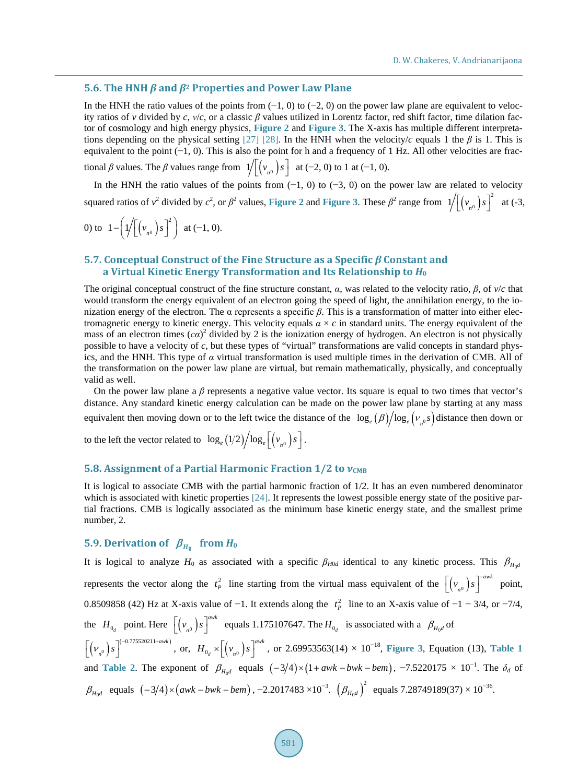### **5.6. The HNH** *β* **and** *β***<sup>2</sup> Properties and Power Law Plane**

In the HNH the ratio values of the points from  $(-1, 0)$  to  $(-2, 0)$  on the power law plane are equivalent to velocity ratios of *v* divided by *c*, *v*/*c*, or a classic  $\beta$  values utilized in Lorentz factor, red shift factor, time dilation factor of cosmology and high energy physics, **[Figure 2](#page-6-0)** and **[Figure 3](#page-6-1)**. The X-axis has multiple different interpreta-tions depending on the physical setting [\[27\]](#page-13-4) [\[28\].](#page-13-5) In the HNH when the velocity/*c* equals 1 the  $\beta$  is 1. This is equivalent to the point (−1, 0). This is also the point for h and a frequency of 1 Hz. All other velocities are fractional *β* values. The *β* values range from  $1/[(v_{n0})s]$  at (−2, 0) to 1 at (−1, 0).

In the HNH the ratio values of the points from  $(-1, 0)$  to  $(-3, 0)$  on the power law are related to velocity squared ratios of  $v^2$  divided by  $c^2$ , or  $\beta^2$  values, [Figure 2](#page-6-0) and [Figure 3](#page-6-1). These  $\beta^2$  range from  $1/[(v_{n0})s]^2$  at (-3,

0) to 
$$
1 - \left( \frac{1}{\left( v_{n_0} \right) s^2} \right)
$$
 at (-1, 0).

### **5.7. Conceptual Construct of the Fine Structure as a Specific** *β* **Constant and a Virtual Kinetic Energy Transformation and Its Relationship to** *H***<sup>0</sup>**

The original conceptual construct of the fine structure constant,  $\alpha$ , was related to the velocity ratio,  $\beta$ , of  $\nu/c$  that would transform the energy equivalent of an electron going the speed of light, the annihilation energy, to the ionization energy of the electron. The α represents a specific *β*. This is a transformation of matter into either electromagnetic energy to kinetic energy. This velocity equals  $a \times c$  in standard units. The energy equivalent of the mass of an electron times  $(c\alpha)^2$  divided by 2 is the ionization energy of hydrogen. An electron is not physically possible to have a velocity of *c*, but these types of "virtual" transformations are valid concepts in standard physics, and the HNH. This type of *α* virtual transformation is used multiple times in the derivation of CMB. All of the transformation on the power law plane are virtual, but remain mathematically, physically, and conceptually valid as well.

On the power law plane a *β* represents a negative value vector. Its square is equal to two times that vector's distance. Any standard kinetic energy calculation can be made on the power law plane by starting at any mass equivalent then moving down or to the left twice the distance of the  $\log_e(\beta)/\log_e(\nu_p s)$  distance then down or

to the left the vector related to  $\log_e (1/2) / \log_e \left[ \left( v_{n0} \right) s \right]$ .

### **5.8. Assignment of a Partial Harmonic Fraction 1/2 to**  $ν_{CMB}$

It is logical to associate CMB with the partial harmonic fraction of 1/2. It has an even numbered denominator which is associated with kinetic properties [\[24\].](#page-13-8) It represents the lowest possible energy state of the positive partial fractions. CMB is logically associated as the minimum base kinetic energy state, and the smallest prime number, 2.

# **5.9. Derivation of**  $\beta_{H_0}$  **from** *H*<sup>0</sup>

It is logical to analyze  $H_0$  as associated with a specific  $\beta_{H0d}$  identical to any kinetic process. This  $\beta_{H_0d}$ represents the vector along the  $t_p^2$  line starting from the virtual mass equivalent of the  $[(v_{n0})s]^{-avk}$  point, 0.8509858 (42) Hz at X-axis value of  $-1$ . It extends along the  $t_p^2$  line to an X-axis value of  $-1 - 3/4$ , or  $-7/4$ , the  $H_{0_d}$  point. Here  $[(v_{n0}) s]^{a\vee k}$  equals 1.175107647. The  $H_{0_d}$  is associated with a  $\beta_{H_0d}$  of  $(\nu_{n^0}) s^{(-0.775520211+awk)}$  $\left[\left(\nu_{n^0}\right)s\right]^{(-0.775520211+awk)}, \text{ or, } \left.H_{0_d}\times\left[\left(\nu_{n^0}\right)s\right]^{awk}, \text{ or } 2.69953563(14)\times 10^{-18}, \text{ Figure 3, Equation (13), Table 1}$  $\left[\left(\nu_{n^0}\right)s\right]^{(-0.775520211+awk)}, \text{ or, } \left.H_{0_d}\times\left[\left(\nu_{n^0}\right)s\right]^{awk}, \text{ or } 2.69953563(14)\times 10^{-18}, \text{ Figure 3, Equation (13), Table 1}$  $\left[\left(\nu_{n^0}\right)s\right]^{(-0.775520211+awk)}, \text{ or, } \left.H_{0_d}\times\left[\left(\nu_{n^0}\right)s\right]^{awk}, \text{ or } 2.69953563(14)\times 10^{-18}, \text{ Figure 3, Equation (13), Table 1}$  $\left[\left(\nu_{n^0}\right)s\right]^{(-0.775520211+awk)}, \text{ or, } \left.H_{0_d}\times\left[\left(\nu_{n^0}\right)s\right]^{awk}, \text{ or } 2.69953563(14)\times 10^{-18}, \text{ Figure 3, Equation (13), Table 1}$  $\left[\left(\nu_{n^0}\right)s\right]^{(-0.775520211+awk)}, \text{ or, } \left.H_{0_d}\times\left[\left(\nu_{n^0}\right)s\right]^{awk}, \text{ or } 2.69953563(14)\times 10^{-18}, \text{ Figure 3, Equation (13), Table 1}$ and **[Table 2](#page-5-0)**. The exponent of  $\beta_{H_0d}$  equals  $(-3/4) \times (1 + awk - bwk - bem)$ ,  $-7.5220175 \times 10^{-1}$ . The  $\delta_d$  of  $\beta_{H_0d}$  equals  $(-3/4) \times (awk-bwk-bem)$ , -2.2017483 ×10<sup>-3</sup>.  $(\beta_{H_0d})^2$  equals 7.28749189(37) × 10<sup>-36</sup>.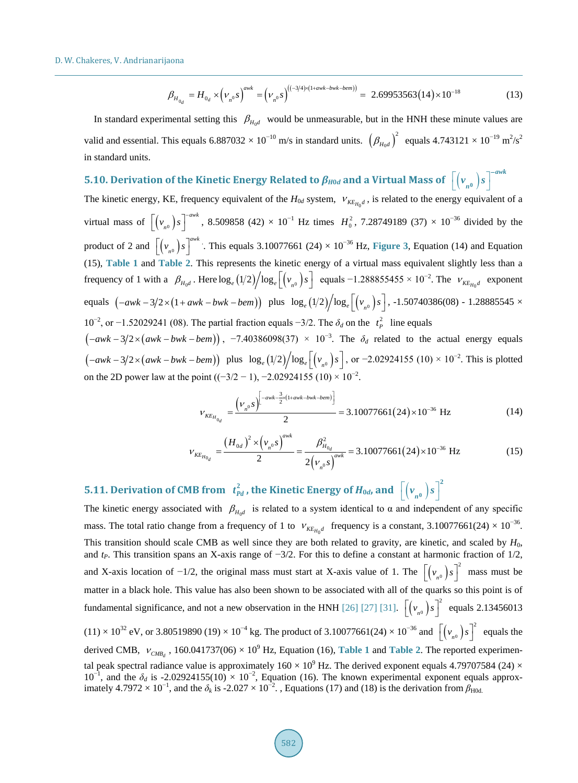$$
\beta_{H_{0_d}} = H_{0_d} \times \left(\nu_{n^0} s\right)^{awk} = \left(\nu_{n^0} s\right)^{\left((-3/4)\times(1+awk-bwk-bem)\right)} = 2.69953563(14) \times 10^{-18} \tag{13}
$$

In standard experimental setting this  $\beta_{H_0d}$  would be unmeasurable, but in the HNH these minute values are valid and essential. This equals  $6.887032 \times 10^{-10}$  m/s in standard units.  $\left(\beta_{H_0d}\right)^2$  equals  $4.743121 \times 10^{-19}$  m<sup>2</sup>/s<sup>2</sup> in standard units.

# **5.10. Derivation of the Kinetic Energy Related to**  $\pmb{\beta}_{H0d}$  **and a Virtual Mass of**  $\left[ \left( v_{_{n^0}} \right) _S \right]^{-a \kappa k}$  $v_{n^0}$  $s$ <sup>-</sup>

The kinetic energy, KE, frequency equivalent of the  $H_{0d}$  system,  $v_{\kappa E_{H_0}d}$ , is related to the energy equivalent of a virtual mass of  $[(v_{n0})s]^{-a\omega k}$ , 8.509858 (42) × 10<sup>-1</sup> Hz times  $H_0^2$ , 7.28749189 (37) × 10<sup>-36</sup> divided by the product of 2 and  $[(v_{n0})s]^{a\omega k}$ . This equals 3.10077661 (24) × 10<sup>-36</sup> Hz, **[Figure 3](#page-6-1)**, Equation (14) and Equation (15), **[Table 1](#page-2-0)** and **[Table 2](#page-5-0)**. This represents the kinetic energy of a virtual mass equivalent slightly less than a frequency of 1 with a  $\beta_{H_0d}$ . Here  $\log_e(1/2)/\log_e[(v_{n0})s]$  equals  $-1.288855455 \times 10^{-2}$ . The  $v_{KE_{H_0d}}$  exponent equals  $(-awk-3/2)(1+awk-bwk-bem)$  plus  $log_e(1/2)/log_e[(v_{n0})s]$ , -1.50740386(08) - 1.28885545 × 10<sup>-2</sup>, or −1.52029241 (08). The partial fraction equals −3/2. The  $\delta_d$  on the  $t_p^2$  line equals  $(-awk-3/2\times(awk-bwk-bem))$ , -7.40386098(37) × 10<sup>-3</sup>. The  $\delta_d$  related to the actual energy equals

 $(-awk - 3/2 \times (awk - bw + bem))$  plus  $\log_e(1/2)/\log_e[(v_{n0})s]$ , or  $-2.02924155$  (10) × 10<sup>-2</sup>. This is plotted on the 2D power law at the point  $((-3/2 - 1), -2.02924155 (10) \times 10^{-2})$ .

$$
V_{KE_{H_{0_d}}} = \frac{(\nu_{n0} s)^{\left(-awk - \frac{3}{2} \times (1 + awk - bw + bew\right)}}{2} = 3.10077661(24) \times 10^{-36} \text{ Hz}
$$
 (14)

$$
V_{KE_{H_{0_d}}} = \frac{\left(H_{0d}\right)^2 \times \left(v_{n0}^0 s\right)^{a \text{w}k}}{2} = \frac{\beta_{H_{0_d}}^2}{2\left(v_{n0}^0 s\right)^{a \text{w}k}} = 3.10077661(24) \times 10^{-36} \text{ Hz}
$$
 (15)

# **5.11. Derivation of CMB from**  $t_{Pd}^2$  **, the Kinetic Energy of**  $H_{0d}$ **, and**  $\left[ \left( v_{n^0} \right) s \right]^2$

The kinetic energy associated with  $\beta_{H_0d}$  is related to a system identical to  $\alpha$  and independent of any specific mass. The total ratio change from a frequency of 1 to  $V_{KE_{H_0}d}$  frequency is a constant, 3.10077661(24) × 10<sup>-36</sup>. This transition should scale CMB as well since they are both related to gravity, are kinetic, and scaled by  $H_0$ , and *tP*. This transition spans an X-axis range of −3/2. For this to define a constant at harmonic fraction of 1/2, and X-axis location of  $-1/2$ , the original mass must start at X-axis value of 1. The  $\left[ \left( v_n \right) s \right]^2$  mass must be matter in a black hole. This value has also been shown to be associated with all of the quarks so this point is of fundamental significance, and not a new observation in the HNH [\[26\]](#page-13-7) [\[27\]](#page-13-4) [\[31\].](#page-13-2)  $\left[ \left( v_{n0} \right) s \right]^2$  equals 2.13456013  $(11) \times 10^{32}$  eV, or 3.80519890 (19) × 10<sup>-4</sup> kg. The product of 3.10077661(24) × 10<sup>-36</sup> and  $\left[ \left( v_{n0} \right) s \right]^2$  equals the derived CMB,  $V_{CMBa}$ , 160.041737(06) × 10<sup>9</sup> Hz, Equation (16), **[Table 1](#page-2-0)** and **[Table 2](#page-5-0)**. The reported experimental peak spectral radiance value is approximately  $160 \times 10^9$  Hz. The derived exponent equals 4.79707584 (24)  $\times$  $10^{-1}$ , and the  $\delta_d$  is -2.02924155(10) × 10<sup>-2</sup>, Equation (16). The known experimental exponent equals approximately 4.7972 × 10<sup>-1</sup>, and the  $\delta_k$  is -2.027 × 10<sup>-2</sup>., Equations (17) and (18) is the derivation from  $\beta_{H0d}$ .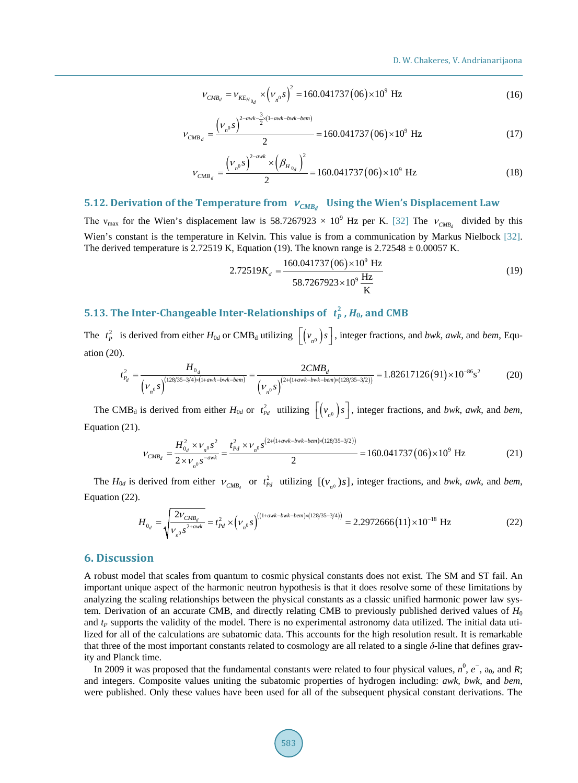$$
V_{CMB_d} = V_{KE_{H_{0_d}}} \times \left(V_{n^0} s\right)^2 = 160.041737 \left(06\right) \times 10^9 \text{ Hz}
$$
 (16)

$$
V_{CMB_d} = \frac{(\nu_{n0} s)^{2-\text{awk}-\frac{3}{2} \times (1+\text{awk}-b\text{wk}-b\text{em})}}{2} = 160.041737 (06) \times 10^9 \text{ Hz}
$$
 (17)

$$
V_{CMB_d} = \frac{(\nu_{n0}S)^{2-\text{avk}} \times (\beta_{H_{0d}})^2}{2} = 160.041737(06) \times 10^9 \text{ Hz}
$$
 (18)

# **5.12. Derivation of the Temperature from**   $v_{CMB}$  Using the Wien's Displacement Law

The v<sub>max</sub> for the Wien's displacement law is 58.7267923  $\times$  10<sup>9</sup> Hz per K. [\[32\]](#page-13-9) The  $v_{CMB}$  divided by this Wien's constant is the temperature in Kelvin. This value is from a communication by Markus Nielbock [\[32\].](#page-13-9) The derived temperature is 2.72519 K, Equation (19). The known range is  $2.72548 \pm 0.00057$  K.

$$
2.72519K_d = \frac{160.041737 (06) \times 10^9 \text{ Hz}}{58.7267923 \times 10^9 \text{ Hz}} \tag{19}
$$

# **5.13. The Inter-Changeable Inter-Relationships of**  $t_p^2$ **,**  $H_0$ **, and CMB**

The  $t_p^2$  is derived from either  $H_{0d}$  or CMB<sub>d</sub> utilizing  $\lfloor (v_{n^0})s \rfloor$ , integer fractions, and *bwk*, *awk*, and *bem*, Equation (20).

$$
t_{P_d}^2 = \frac{H_{0_d}}{\left(\nu_{n^0} s\right)^{(128/35-3/4)\times(1+awk-bwk-bem)}} = \frac{2CMB_d}{\left(\nu_{n^0} s\right)^{(2+(1+awk-bwk-bem)\times(128/35-3/2))}} = 1.82617126(91) \times 10^{-86} \text{s}^2 \tag{20}
$$

The CMB<sub>d</sub> is derived from either  $H_{0d}$  or  $t_{pd}^2$  utilizing  $\lfloor (v_{n0})s \rfloor$ , integer fractions, and *bwk*, *awk*, and *bem*, Equation (21).

$$
V_{CMB_d} = \frac{H_{0_d}^2 \times V_{n^0} s^2}{2 \times V_{n^0} s^{-awk}} = \frac{t_{Pd}^2 \times V_{n^0} s^{(2 + (1 + awk - bw) \times (128/35 - 3/2))}}{2} = 160.041737 (06) \times 10^9 \text{ Hz}
$$
 (21)

The  $H_{0d}$  is derived from either  $V_{CMB_d}$  or  $t_{Pd}^2$  utilizing  $[(v_{n0})s]$ , integer fractions, and *bwk*, *awk*, and *bem*, Equation (22).

$$
H_{0_d} = \sqrt{\frac{2V_{CMB_d}}{V_{n^0} s^{2+awk}}} = t_{Pd}^2 \times (\nu_{n^0} s)^{((1+awk-bwk-bem)\times(128/35-3/4))} = 2.2972666(11) \times 10^{-18} \text{ Hz}
$$
 (22)

# **6. Discussion**

A robust model that scales from quantum to cosmic physical constants does not exist. The SM and ST fail. An important unique aspect of the harmonic neutron hypothesis is that it does resolve some of these limitations by analyzing the scaling relationships between the physical constants as a classic unified harmonic power law system. Derivation of an accurate CMB, and directly relating CMB to previously published derived values of *H*<sup>0</sup> and *t<sub>P</sub>* supports the validity of the model. There is no experimental astronomy data utilized. The initial data utilized for all of the calculations are subatomic data. This accounts for the high resolution result. It is remarkable that three of the most important constants related to cosmology are all related to a single *δ*-line that defines gravity and Planck time.

In 2009 it was proposed that the fundamental constants were related to four physical values,  $n^0$ ,  $e^-$ ,  $a_0$ , and  $R$ ; and integers. Composite values uniting the subatomic properties of hydrogen including: *awk*, *bwk*, and *bem*, were published. Only these values have been used for all of the subsequent physical constant derivations. The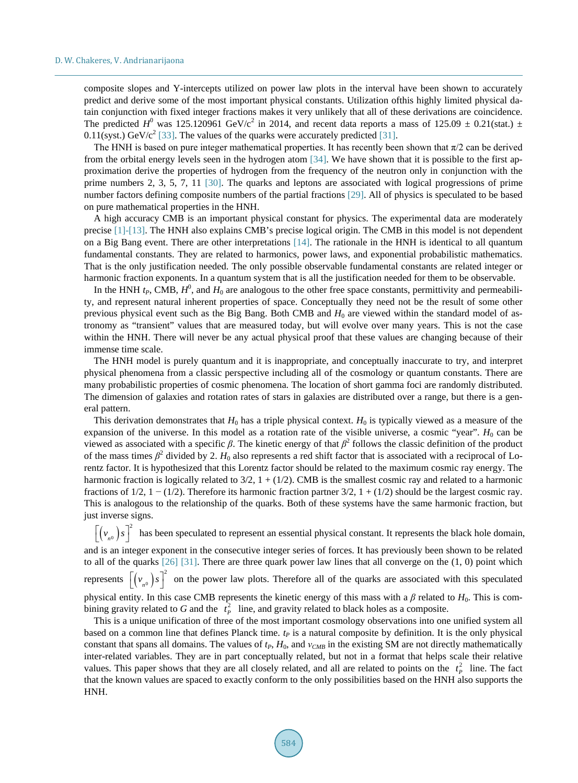composite slopes and Y-intercepts utilized on power law plots in the interval have been shown to accurately predict and derive some of the most important physical constants. Utilization ofthis highly limited physical datain conjunction with fixed integer fractions makes it very unlikely that all of these derivations are coincidence. The predicted  $H^0$  was 125.120961 GeV/c<sup>2</sup> in 2014, and recent data reports a mass of 125.09  $\pm$  0.21(stat.)  $\pm$ 0.11(syst.) GeV/ $c^2$  [\[33\].](#page-13-10) The values of the quarks were accurately predicted [\[31\].](#page-13-2)

The HNH is based on pure integer mathematical properties. It has recently been shown that  $\pi/2$  can be derived from the orbital energy levels seen in the hydrogen atom [\[34\].](#page-13-11) We have shown that it is possible to the first approximation derive the properties of hydrogen from the frequency of the neutron only in conjunction with the prime numbers 2, 3, 5, 7, 11 [\[30\].](#page-13-12) The quarks and leptons are associated with logical progressions of prime number factors defining composite numbers of the partial fractions [\[29\].](#page-13-3) All of physics is speculated to be based on pure mathematical properties in the HNH.

A high accuracy CMB is an important physical constant for physics. The experimental data are moderately precise [\[1\]](#page-12-0)[-\[13\].](#page-12-1) The HNH also explains CMB's precise logical origin. The CMB in this model is not dependent on a Big Bang event. There are other interpretations [\[14\].](#page-12-2) The rationale in the HNH is identical to all quantum fundamental constants. They are related to harmonics, power laws, and exponential probabilistic mathematics. That is the only justification needed. The only possible observable fundamental constants are related integer or harmonic fraction exponents. In a quantum system that is all the justification needed for them to be observable.

In the HNH  $t_P$ , CMB,  $H^0$ , and  $H_0$  are analogous to the other free space constants, permittivity and permeability, and represent natural inherent properties of space. Conceptually they need not be the result of some other previous physical event such as the Big Bang. Both CMB and  $H_0$  are viewed within the standard model of astronomy as "transient" values that are measured today, but will evolve over many years. This is not the case within the HNH. There will never be any actual physical proof that these values are changing because of their immense time scale.

The HNH model is purely quantum and it is inappropriate, and conceptually inaccurate to try, and interpret physical phenomena from a classic perspective including all of the cosmology or quantum constants. There are many probabilistic properties of cosmic phenomena. The location of short gamma foci are randomly distributed. The dimension of galaxies and rotation rates of stars in galaxies are distributed over a range, but there is a general pattern.

This derivation demonstrates that  $H_0$  has a triple physical context.  $H_0$  is typically viewed as a measure of the expansion of the universe. In this model as a rotation rate of the visible universe, a cosmic "year".  $H_0$  can be viewed as associated with a specific *β*. The kinetic energy of that  $β<sup>2</sup>$  follows the classic definition of the product of the mass times  $\beta^2$  divided by 2.  $H_0$  also represents a red shift factor that is associated with a reciprocal of Lorentz factor. It is hypothesized that this Lorentz factor should be related to the maximum cosmic ray energy. The harmonic fraction is logically related to  $3/2$ ,  $1 + (1/2)$ . CMB is the smallest cosmic ray and related to a harmonic fractions of 1/2, 1 – (1/2). Therefore its harmonic fraction partner 3/2, 1 + (1/2) should be the largest cosmic ray. This is analogous to the relationship of the quarks. Both of these systems have the same harmonic fraction, but just inverse signs.

 $\left[ (v_{n}^{\prime}) s \right]^2$  has been speculated to represent an essential physical constant. It represents the black hole domain, and is an integer exponent in the consecutive integer series of forces. It has previously been shown to be related to all of the quarks  $[26]$   $[31]$ . There are three quark power law lines that all converge on the  $(1, 0)$  point which represents  $[(v_{n0})s]^2$  on the power law plots. Therefore all of the quarks are associated with this speculated physical entity. In this case CMB represents the kinetic energy of this mass with a  $\beta$  related to  $H_0$ . This is combining gravity related to G and the  $t_p^2$  line, and gravity related to black holes as a composite.

This is a unique unification of three of the most important cosmology observations into one unified system all based on a common line that defines Planck time.  $t_P$  is a natural composite by definition. It is the only physical constant that spans all domains. The values of  $t_P$ ,  $H_0$ , and  $v_{CMB}$  in the existing SM are not directly mathematically inter-related variables. They are in part conceptually related, but not in a format that helps scale their relative values. This paper shows that they are all closely related, and all are related to points on the  $t_p^2$  line. The fact that the known values are spaced to exactly conform to the only possibilities based on the HNH also supports the HNH.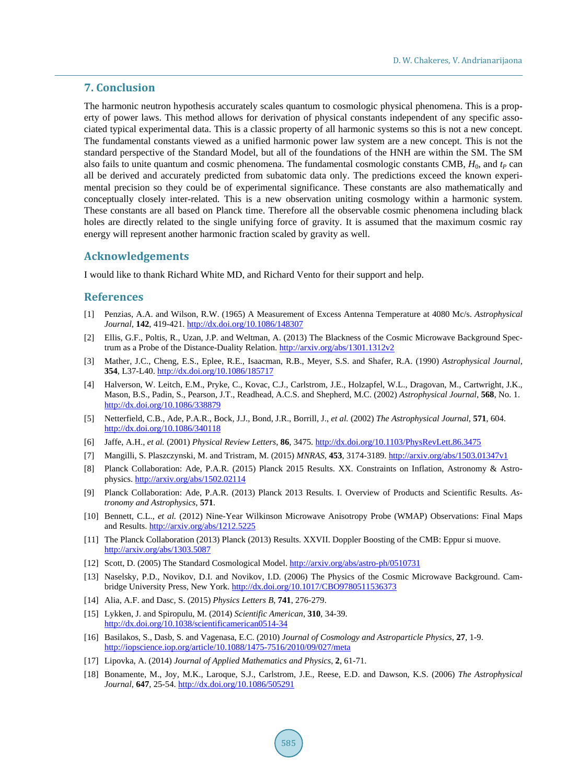### **7. Conclusion**

The harmonic neutron hypothesis accurately scales quantum to cosmologic physical phenomena. This is a property of power laws. This method allows for derivation of physical constants independent of any specific associated typical experimental data. This is a classic property of all harmonic systems so this is not a new concept. The fundamental constants viewed as a unified harmonic power law system are a new concept. This is not the standard perspective of the Standard Model, but all of the foundations of the HNH are within the SM. The SM also fails to unite quantum and cosmic phenomena. The fundamental cosmologic constants CMB,  $H_0$ , and  $t_P$  can all be derived and accurately predicted from subatomic data only. The predictions exceed the known experimental precision so they could be of experimental significance. These constants are also mathematically and conceptually closely inter-related. This is a new observation uniting cosmology within a harmonic system. These constants are all based on Planck time. Therefore all the observable cosmic phenomena including black holes are directly related to the single unifying force of gravity. It is assumed that the maximum cosmic ray energy will represent another harmonic fraction scaled by gravity as well.

## **Acknowledgements**

I would like to thank Richard White MD, and Richard Vento for their support and help.

#### **References**

- <span id="page-12-0"></span>[1] Penzias, A.A. and Wilson, R.W. (1965) A Measurement of Excess Antenna Temperature at 4080 Mc/s. *Astrophysical Journal*, **142**, 419-421[. http://dx.doi.org/10.1086/148307](http://dx.doi.org/10.1086/148307)
- [2] Ellis, G.F., Poltis, R., Uzan, J.P. and Weltman, A. (2013) The Blackness of the Cosmic Microwave Background Spectrum as a Probe of the Distance-Duality Relation. <http://arxiv.org/abs/1301.1312v2>
- [3] Mather, J.C., Cheng, E.S., Eplee, R.E., Isaacman, R.B., Meyer, S.S. and Shafer, R.A. (1990) *Astrophysical Journal*, **354**, L37-L40.<http://dx.doi.org/10.1086/185717>
- [4] Halverson, W. Leitch, E.M., Pryke, C., Kovac, C.J., Carlstrom, J.E., Holzapfel, W.L., Dragovan, M., Cartwright, J.K., Mason, B.S., Padin, S., Pearson, J.T., Readhead, A.C.S. and Shepherd, M.C. (2002) *Astrophysical Journal*, **568**, No. 1. <http://dx.doi.org/10.1086/338879>
- [5] Netterfield, C.B., Ade, P.A.R., Bock, J.J., Bond, J.R., Borrill, J., *et al.* (2002) *The Astrophysical Journal*, **571**, 604. <http://dx.doi.org/10.1086/340118>
- [6] Jaffe, A.H., *et al.* (2001) *Physical Review Letters*, **86**, 3475.<http://dx.doi.org/10.1103/PhysRevLett.86.3475>
- [7] Mangilli, S. Plaszczynski, M. and Tristram, M. (2015) *MNRAS*, **453**, 3174-3189[. http://arxiv.org/abs/1503.01347v1](http://arxiv.org/abs/1503.01347v1)
- [8] Planck Collaboration: Ade, P.A.R. (2015) Planck 2015 Results. XX. Constraints on Inflation, Astronomy & Astrophysics. <http://arxiv.org/abs/1502.02114>
- [9] Planck Collaboration: Ade, P.A.R. (2013) Planck 2013 Results. I. Overview of Products and Scientific Results. *Astronomy and Astrophysics*, **571**.
- [10] Bennett, C.L., *et al.* (2012) Nine-Year Wilkinson Microwave Anisotropy Probe (WMAP) Observations: Final Maps and Results.<http://arxiv.org/abs/1212.5225>
- [11] The Planck Collaboration (2013) Planck (2013) Results. XXVII. Doppler Boosting of the CMB: Eppur si muove. <http://arxiv.org/abs/1303.5087>
- [12] Scott, D. (2005) The Standard Cosmological Model. <http://arxiv.org/abs/astro-ph/0510731>
- <span id="page-12-1"></span>[13] Naselsky, P.D., Novikov, D.I. and Novikov, I.D. (2006) The Physics of the Cosmic Microwave Background. Cambridge University Press, New York. <http://dx.doi.org/10.1017/CBO9780511536373>
- <span id="page-12-2"></span>[14] Alia, A.F. and Dasc, S. (2015) *Physics Letters B*, **741**, 276-279.
- <span id="page-12-3"></span>[15] Lykken, J. and Spiropulu, M. (2014) *Scientific American*, **310**, 34-39. <http://dx.doi.org/10.1038/scientificamerican0514-34>
- <span id="page-12-4"></span>[16] Basilakos, S., Dasb, S. and Vagenasa, E.C. (2010) *Journal of Cosmology and Astroparticle Physics*, **27**, 1-9. <http://iopscience.iop.org/article/10.1088/1475-7516/2010/09/027/meta>
- <span id="page-12-5"></span>[17] Lipovka, A. (2014) *Journal of Applied Mathematics and Physics*, **2**, 61-71.
- [18] Bonamente, M., Joy, M.K., Laroque, S.J., Carlstrom, J.E., Reese, E.D. and Dawson, K.S. (2006) *The Astrophysical Journal*, **647**, 25-54. <http://dx.doi.org/10.1086/505291>